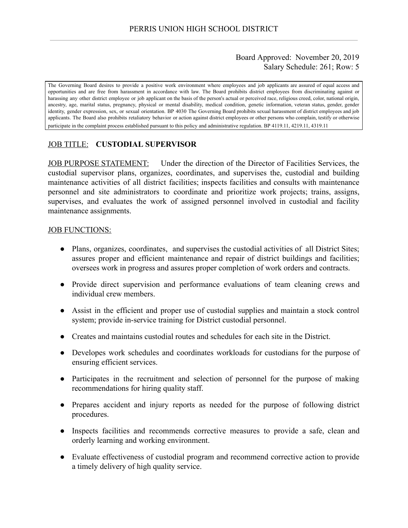## Board Approved: November 20, 2019 Salary Schedule: 261; Row: 5

The Governing Board desires to provide a positive work environment where employees and job applicants are assured of equal access and opportunities and are free from harassment in accordance with law. The Board prohibits district employees from discriminating against or harassing any other district employee or job applicant on the basis of the person's actual or perceived race, religious creed, color, national origin, ancestry, age, marital status, pregnancy, physical or mental disability, medical condition, genetic information, veteran status, gender, gender identity, gender expression, sex, or sexual orientation. BP 4030 The Governing Board prohibits sexual harassment of district employees and job applicants. The Board also prohibits retaliatory behavior or action against district employees or other persons who complain, testify or otherwise participate in the complaint process established pursuant to this policy and administrative regulation. BP 4119.11, 4219.11, 4319.11

## JOB TITLE: **CUSTODIAL SUPERVISOR**

JOB PURPOSE STATEMENT: Under the direction of the Director of Facilities Services, the custodial supervisor plans, organizes, coordinates, and supervises the, custodial and building maintenance activities of all district facilities; inspects facilities and consults with maintenance personnel and site administrators to coordinate and prioritize work projects; trains, assigns, supervises, and evaluates the work of assigned personnel involved in custodial and facility maintenance assignments.

### JOB FUNCTIONS:

- Plans, organizes, coordinates, and supervises the custodial activities of all District Sites; assures proper and efficient maintenance and repair of district buildings and facilities; oversees work in progress and assures proper completion of work orders and contracts.
- Provide direct supervision and performance evaluations of team cleaning crews and individual crew members.
- Assist in the efficient and proper use of custodial supplies and maintain a stock control system; provide in-service training for District custodial personnel.
- Creates and maintains custodial routes and schedules for each site in the District.
- Developes work schedules and coordinates workloads for custodians for the purpose of ensuring efficient services.
- Participates in the recruitment and selection of personnel for the purpose of making recommendations for hiring quality staff.
- Prepares accident and injury reports as needed for the purpose of following district procedures.
- Inspects facilities and recommends corrective measures to provide a safe, clean and orderly learning and working environment.
- Evaluate effectiveness of custodial program and recommend corrective action to provide a timely delivery of high quality service.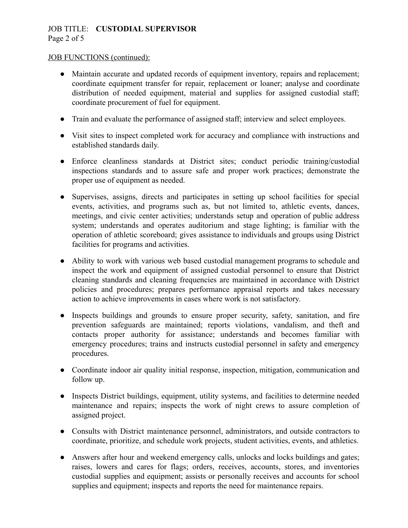# JOB TITLE: **CUSTODIAL SUPERVISOR**  Page 2 of 5

#### JOB FUNCTIONS (continued):

- Maintain accurate and updated records of equipment inventory, repairs and replacement; coordinate equipment transfer for repair, replacement or loaner; analyse and coordinate distribution of needed equipment, material and supplies for assigned custodial staff; coordinate procurement of fuel for equipment.
- Train and evaluate the performance of assigned staff; interview and select employees.
- Visit sites to inspect completed work for accuracy and compliance with instructions and established standards daily.
- Enforce cleanliness standards at District sites; conduct periodic training/custodial inspections standards and to assure safe and proper work practices; demonstrate the proper use of equipment as needed.
- Supervises, assigns, directs and participates in setting up school facilities for special events, activities, and programs such as, but not limited to, athletic events, dances, meetings, and civic center activities; understands setup and operation of public address system; understands and operates auditorium and stage lighting; is familiar with the operation of athletic scoreboard; gives assistance to individuals and groups using District facilities for programs and activities.
- Ability to work with various web based custodial management programs to schedule and inspect the work and equipment of assigned custodial personnel to ensure that District cleaning standards and cleaning frequencies are maintained in accordance with District policies and procedures; prepares performance appraisal reports and takes necessary action to achieve improvements in cases where work is not satisfactory.
- Inspects buildings and grounds to ensure proper security, safety, sanitation, and fire prevention safeguards are maintained; reports violations, vandalism, and theft and contacts proper authority for assistance; understands and becomes familiar with emergency procedures; trains and instructs custodial personnel in safety and emergency procedures.
- Coordinate indoor air quality initial response, inspection, mitigation, communication and follow up.
- Inspects District buildings, equipment, utility systems, and facilities to determine needed maintenance and repairs; inspects the work of night crews to assure completion of assigned project.
- Consults with District maintenance personnel, administrators, and outside contractors to coordinate, prioritize, and schedule work projects, student activities, events, and athletics.
- Answers after hour and weekend emergency calls, unlocks and locks buildings and gates; raises, lowers and cares for flags; orders, receives, accounts, stores, and inventories custodial supplies and equipment; assists or personally receives and accounts for school supplies and equipment; inspects and reports the need for maintenance repairs.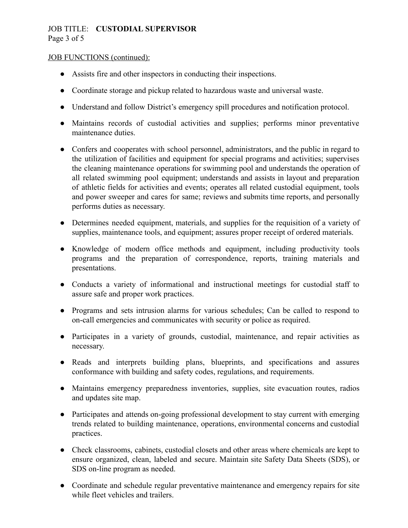# JOB TITLE: **CUSTODIAL SUPERVISOR**  Page 3 of 5

#### JOB FUNCTIONS (continued):

- Assists fire and other inspectors in conducting their inspections.
- Coordinate storage and pickup related to hazardous waste and universal waste.
- Understand and follow District's emergency spill procedures and notification protocol.
- Maintains records of custodial activities and supplies; performs minor preventative maintenance duties.
- Confers and cooperates with school personnel, administrators, and the public in regard to the utilization of facilities and equipment for special programs and activities; supervises the cleaning maintenance operations for swimming pool and understands the operation of all related swimming pool equipment; understands and assists in layout and preparation of athletic fields for activities and events; operates all related custodial equipment, tools and power sweeper and cares for same; reviews and submits time reports, and personally performs duties as necessary.
- Determines needed equipment, materials, and supplies for the requisition of a variety of supplies, maintenance tools, and equipment; assures proper receipt of ordered materials.
- Knowledge of modern office methods and equipment, including productivity tools programs and the preparation of correspondence, reports, training materials and presentations.
- Conducts a variety of informational and instructional meetings for custodial staff to assure safe and proper work practices.
- Programs and sets intrusion alarms for various schedules; Can be called to respond to on-call emergencies and communicates with security or police as required.
- Participates in a variety of grounds, custodial, maintenance, and repair activities as necessary.
- Reads and interprets building plans, blueprints, and specifications and assures conformance with building and safety codes, regulations, and requirements.
- Maintains emergency preparedness inventories, supplies, site evacuation routes, radios and updates site map.
- Participates and attends on-going professional development to stay current with emerging trends related to building maintenance, operations, environmental concerns and custodial practices.
- Check classrooms, cabinets, custodial closets and other areas where chemicals are kept to ensure organized, clean, labeled and secure. Maintain site Safety Data Sheets (SDS), or SDS on-line program as needed.
- Coordinate and schedule regular preventative maintenance and emergency repairs for site while fleet vehicles and trailers.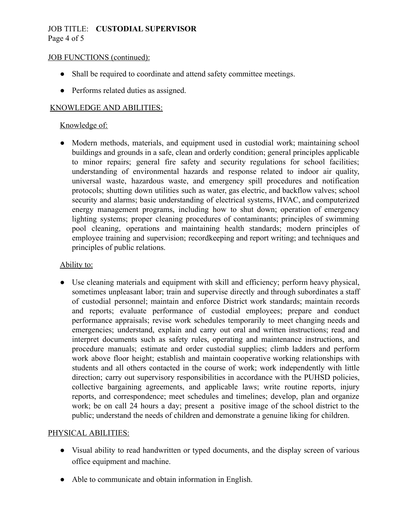### JOB TITLE: **CUSTODIAL SUPERVISOR**  Page 4 of 5

#### JOB FUNCTIONS (continued):

- Shall be required to coordinate and attend safety committee meetings.
- Performs related duties as assigned.

## KNOWLEDGE AND ABILITIES:

## Knowledge of:

● Modern methods, materials, and equipment used in custodial work; maintaining school buildings and grounds in a safe, clean and orderly condition; general principles applicable to minor repairs; general fire safety and security regulations for school facilities; understanding of environmental hazards and response related to indoor air quality, universal waste, hazardous waste, and emergency spill procedures and notification protocols; shutting down utilities such as water, gas electric, and backflow valves; school security and alarms; basic understanding of electrical systems, HVAC, and computerized energy management programs, including how to shut down; operation of emergency lighting systems; proper cleaning procedures of contaminants; principles of swimming pool cleaning, operations and maintaining health standards; modern principles of employee training and supervision; recordkeeping and report writing; and techniques and principles of public relations.

#### Ability to:

● Use cleaning materials and equipment with skill and efficiency; perform heavy physical, sometimes unpleasant labor; train and supervise directly and through subordinates a staff of custodial personnel; maintain and enforce District work standards; maintain records and reports; evaluate performance of custodial employees; prepare and conduct performance appraisals; revise work schedules temporarily to meet changing needs and emergencies; understand, explain and carry out oral and written instructions; read and interpret documents such as safety rules, operating and maintenance instructions, and procedure manuals; estimate and order custodial supplies; climb ladders and perform work above floor height; establish and maintain cooperative working relationships with students and all others contacted in the course of work; work independently with little direction; carry out supervisory responsibilities in accordance with the PUHSD policies, collective bargaining agreements, and applicable laws; write routine reports, injury reports, and correspondence; meet schedules and timelines; develop, plan and organize work; be on call 24 hours a day; present a positive image of the school district to the public; understand the needs of children and demonstrate a genuine liking for children.

#### PHYSICAL ABILITIES:

- Visual ability to read handwritten or typed documents, and the display screen of various office equipment and machine.
- Able to communicate and obtain information in English.